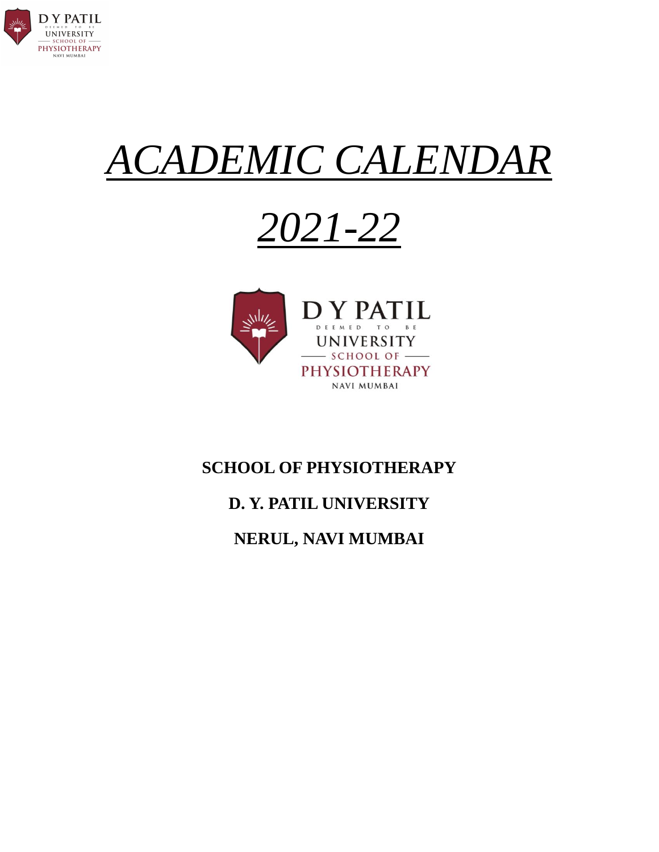

# *ACADEMIC CALENDAR*

# *2021-22*



#### **SCHOOL OF PHYSIOTHERAPY**

### **D. Y. PATIL UNIVERSITY**

#### **NERUL, NAVI MUMBAI**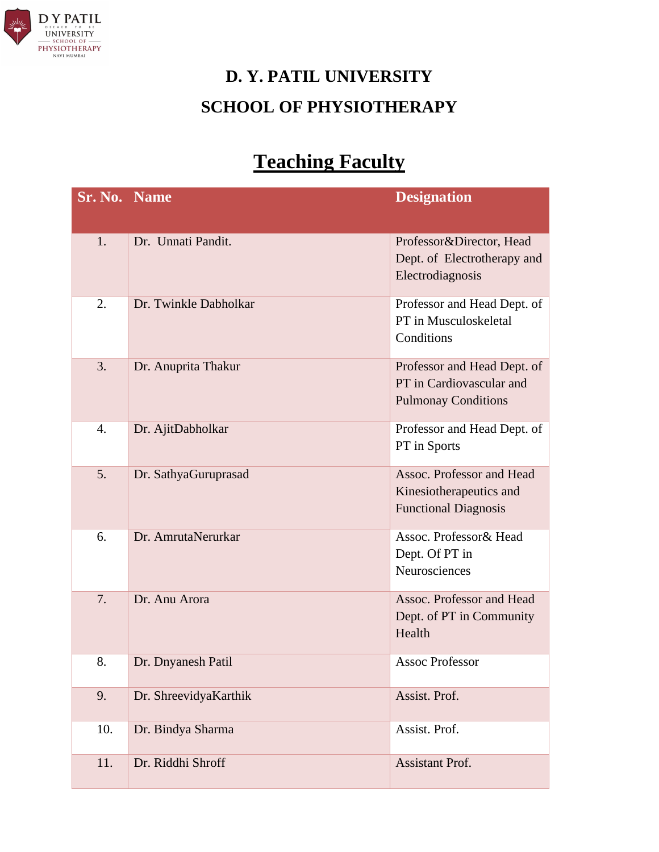

# **D. Y. PATIL UNIVERSITY SCHOOL OF PHYSIOTHERAPY**

## **Teaching Faculty**

| <b>Sr. No. Name</b> |                       | <b>Designation</b>                                                                    |
|---------------------|-----------------------|---------------------------------------------------------------------------------------|
| 1.                  | Dr. Unnati Pandit.    | Professor&Director, Head<br>Dept. of Electrotherapy and<br>Electrodiagnosis           |
| 2.                  | Dr. Twinkle Dabholkar | Professor and Head Dept. of<br>PT in Musculoskeletal<br>Conditions                    |
| 3.                  | Dr. Anuprita Thakur   | Professor and Head Dept. of<br>PT in Cardiovascular and<br><b>Pulmonay Conditions</b> |
| 4.                  | Dr. AjitDabholkar     | Professor and Head Dept. of<br>PT in Sports                                           |
| 5.                  | Dr. SathyaGuruprasad  | Assoc. Professor and Head<br>Kinesiotherapeutics and<br><b>Functional Diagnosis</b>   |
| 6.                  | Dr. AmrutaNerurkar    | Assoc. Professor& Head<br>Dept. Of PT in<br>Neurosciences                             |
| 7.                  | Dr. Anu Arora         | Assoc. Professor and Head<br>Dept. of PT in Community<br>Health                       |
| 8.                  | Dr. Dnyanesh Patil    | <b>Assoc Professor</b>                                                                |
| 9.                  | Dr. ShreevidyaKarthik | Assist. Prof.                                                                         |
| 10.                 | Dr. Bindya Sharma     | Assist. Prof.                                                                         |
| 11.                 | Dr. Riddhi Shroff     | Assistant Prof.                                                                       |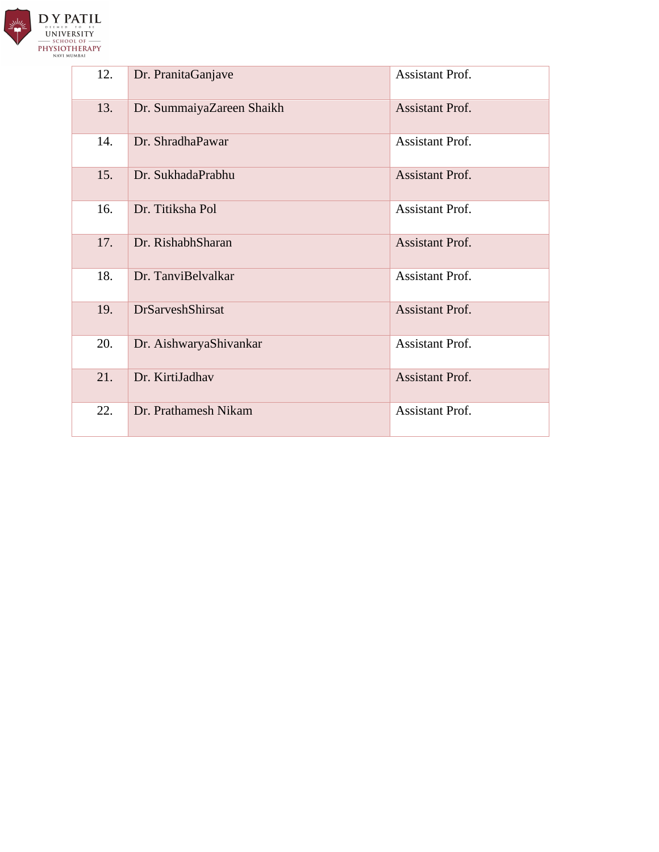

| 12. | Dr. PranitaGanjave        | <b>Assistant Prof.</b> |
|-----|---------------------------|------------------------|
| 13. | Dr. SummaiyaZareen Shaikh | <b>Assistant Prof.</b> |
| 14. | Dr. ShradhaPawar          | <b>Assistant Prof.</b> |
| 15. | Dr. SukhadaPrabhu         | <b>Assistant Prof.</b> |
| 16. | Dr. Titiksha Pol          | Assistant Prof.        |
| 17. | Dr. RishabhSharan         | <b>Assistant Prof.</b> |
| 18. | Dr. TanviBelvalkar        | Assistant Prof.        |
| 19. | <b>DrSarveshShirsat</b>   | <b>Assistant Prof.</b> |
| 20. | Dr. AishwaryaShivankar    | <b>Assistant Prof.</b> |
| 21. | Dr. KirtiJadhav           | <b>Assistant Prof.</b> |
| 22. | Dr. Prathamesh Nikam      | <b>Assistant Prof.</b> |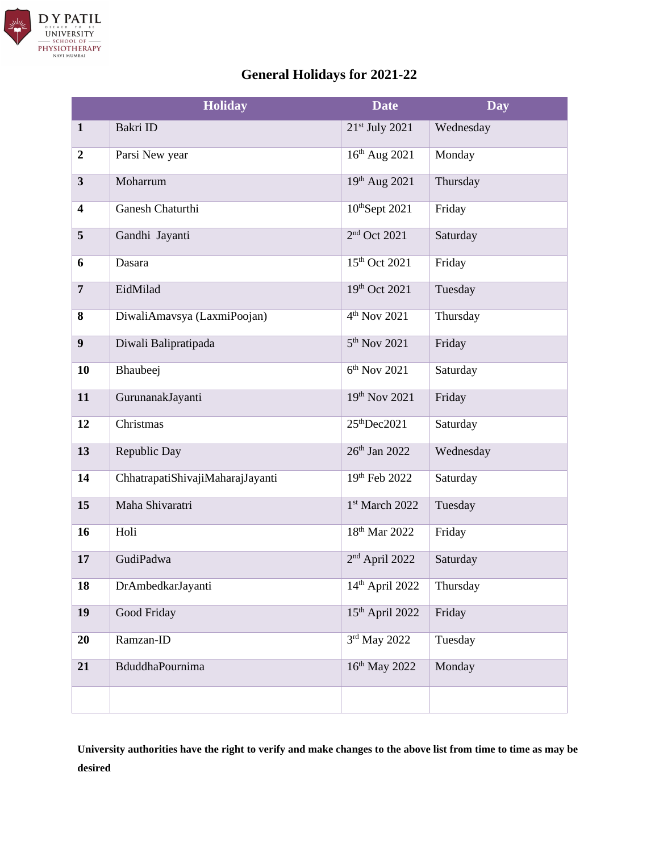

#### **General Holidays for 2021-22**

|                         | <b>Holiday</b>                   | <b>Date</b>                 | <b>Day</b> |
|-------------------------|----------------------------------|-----------------------------|------------|
| $\mathbf{1}$            | Bakri ID                         | 21 <sup>st</sup> July 2021  | Wednesday  |
| $\boldsymbol{2}$        | Parsi New year                   | 16th Aug 2021               | Monday     |
| $\overline{\mathbf{3}}$ | Moharrum                         | 19th Aug 2021               | Thursday   |
| $\overline{\mathbf{4}}$ | Ganesh Chaturthi                 | 10thSept 2021               | Friday     |
| 5                       | Gandhi Jayanti                   | 2 <sup>nd</sup> Oct 2021    | Saturday   |
| 6                       | Dasara                           | 15 <sup>th</sup> Oct 2021   | Friday     |
| $\overline{7}$          | EidMilad                         | 19th Oct 2021               | Tuesday    |
| 8                       | DiwaliAmavsya (LaxmiPoojan)      | 4 <sup>th</sup> Nov 2021    | Thursday   |
| 9                       | Diwali Balipratipada             | 5 <sup>th</sup> Nov 2021    | Friday     |
| 10                      | Bhaubeej                         | $6th$ Nov 2021              | Saturday   |
| 11                      | GurunanakJayanti                 | 19th Nov 2021               | Friday     |
| 12                      | Christmas                        | 25 <sup>th</sup> Dec 2021   | Saturday   |
| 13                      | Republic Day                     | 26th Jan 2022               | Wednesday  |
| 14                      | ChhatrapatiShivajiMaharajJayanti | 19th Feb 2022               | Saturday   |
| 15                      | Maha Shivaratri                  | 1st March 2022              | Tuesday    |
| 16                      | Holi                             | 18 <sup>th</sup> Mar 2022   | Friday     |
| 17                      | GudiPadwa                        | 2 <sup>nd</sup> April 2022  | Saturday   |
| 18                      | DrAmbedkarJayanti                | 14th April 2022             | Thursday   |
| 19                      | Good Friday                      | 15 <sup>th</sup> April 2022 | Friday     |
| 20                      | Ramzan-ID                        | 3rd May 2022                | Tuesday    |
| 21                      | BduddhaPournima                  | 16th May 2022               | Monday     |
|                         |                                  |                             |            |

**University authorities have the right to verify and make changes to the above list from time to time as may be desired**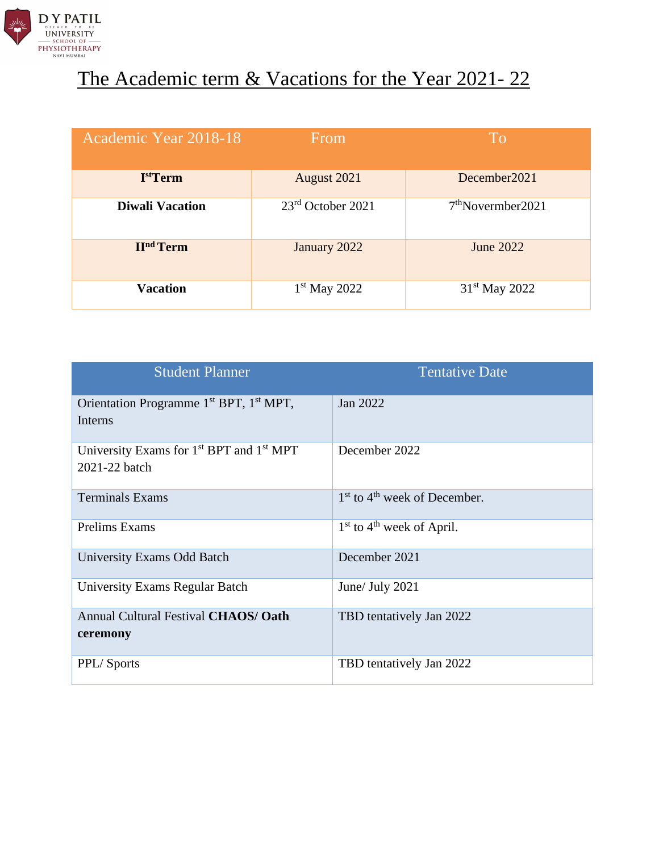

## The Academic term & Vacations for the Year 2021-22

| Academic Year 2018-18       | From                | <b>To</b>                     |
|-----------------------------|---------------------|-------------------------------|
| I <sup>st</sup> Term        | August 2021         | December2021                  |
| <b>Diwali Vacation</b>      | $23rd$ October 2021 | 7 <sup>th</sup> November 2021 |
| <b>II<sup>nd</sup></b> Term | January 2022        | June 2022                     |
| <b>Vacation</b>             | $1st$ May 2022      | 31 <sup>st</sup> May 2022     |

| <b>Student Planner</b>                                                            | <b>Tentative Date</b>            |
|-----------------------------------------------------------------------------------|----------------------------------|
| Orientation Programme 1 <sup>st</sup> BPT, 1 <sup>st</sup> MPT,<br>Interns        | Jan 2022                         |
| University Exams for 1 <sup>st</sup> BPT and 1 <sup>st</sup> MPT<br>2021-22 batch | December 2022                    |
| <b>Terminals Exams</b>                                                            | $1st$ to $4th$ week of December. |
| Prelims Exams                                                                     | $1st$ to $4th$ week of April.    |
| <b>University Exams Odd Batch</b>                                                 | December 2021                    |
| University Exams Regular Batch                                                    | June/ July 2021                  |
| Annual Cultural Festival CHAOS/ Oath<br>ceremony                                  | TBD tentatively Jan 2022         |
| PPL/Sports                                                                        | TBD tentatively Jan 2022         |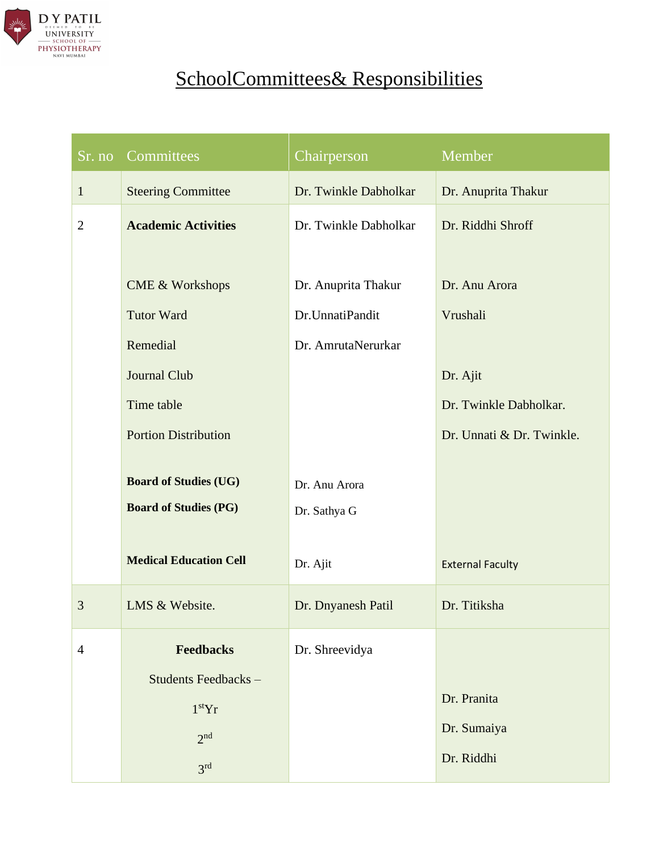

# SchoolCommittees& Responsibilities

| $S_{r.}$ no    | Committees                    | Chairperson           | Member                    |
|----------------|-------------------------------|-----------------------|---------------------------|
| $\mathbf{1}$   | <b>Steering Committee</b>     | Dr. Twinkle Dabholkar | Dr. Anuprita Thakur       |
| $\overline{2}$ | <b>Academic Activities</b>    | Dr. Twinkle Dabholkar | Dr. Riddhi Shroff         |
|                |                               |                       |                           |
|                | <b>CME &amp; Workshops</b>    | Dr. Anuprita Thakur   | Dr. Anu Arora             |
|                | <b>Tutor Ward</b>             | Dr.UnnatiPandit       | Vrushali                  |
|                | Remedial                      | Dr. AmrutaNerurkar    |                           |
|                | <b>Journal Club</b>           |                       | Dr. Ajit                  |
|                | Time table                    |                       | Dr. Twinkle Dabholkar.    |
|                | <b>Portion Distribution</b>   |                       | Dr. Unnati & Dr. Twinkle. |
|                | <b>Board of Studies (UG)</b>  | Dr. Anu Arora         |                           |
|                | <b>Board of Studies (PG)</b>  | Dr. Sathya G          |                           |
|                |                               |                       |                           |
|                | <b>Medical Education Cell</b> | Dr. Ajit              | <b>External Faculty</b>   |
| 3              | LMS & Website.                | Dr. Dnyanesh Patil    | Dr. Titiksha              |
| $\overline{4}$ | <b>Feedbacks</b>              | Dr. Shreevidya        |                           |
|                | Students Feedbacks-           |                       |                           |
|                | 1 <sup>st</sup> Yr            |                       | Dr. Pranita               |
|                | $2n$ d                        |                       | Dr. Sumaiya               |
|                | 3 <sup>rd</sup>               |                       | Dr. Riddhi                |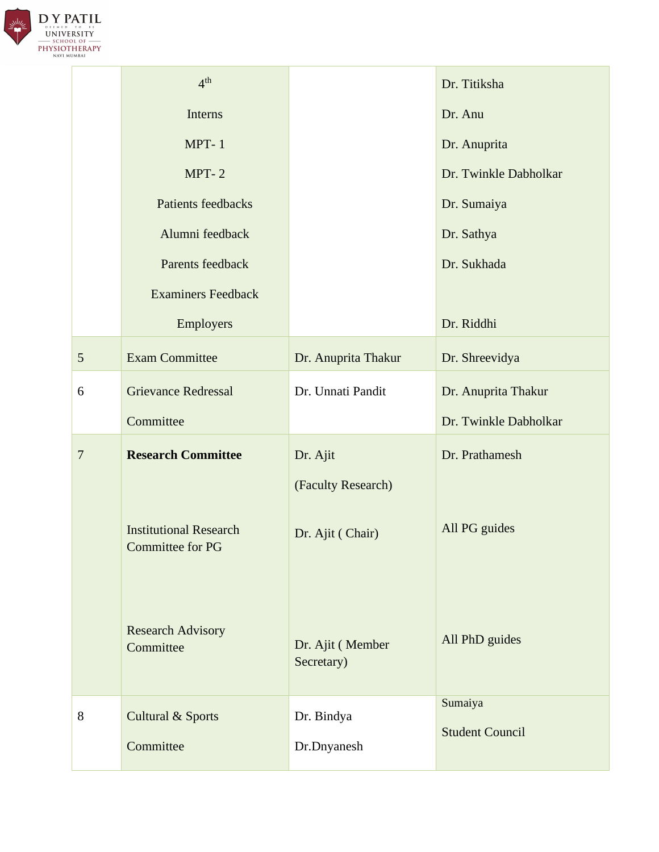

|                 | 4 <sup>th</sup>                                   |                                | Dr. Titiksha                      |
|-----------------|---------------------------------------------------|--------------------------------|-----------------------------------|
|                 | Interns                                           |                                | Dr. Anu                           |
|                 | $MPT-1$                                           |                                | Dr. Anuprita                      |
|                 | $MPT-2$                                           |                                | Dr. Twinkle Dabholkar             |
|                 | Patients feedbacks                                |                                | Dr. Sumaiya                       |
|                 | Alumni feedback                                   |                                | Dr. Sathya                        |
|                 | Parents feedback                                  |                                | Dr. Sukhada                       |
|                 | <b>Examiners Feedback</b>                         |                                |                                   |
|                 | Employers                                         |                                | Dr. Riddhi                        |
| $5\overline{)}$ | <b>Exam Committee</b>                             | Dr. Anuprita Thakur            | Dr. Shreevidya                    |
| 6               | <b>Grievance Redressal</b>                        | Dr. Unnati Pandit              | Dr. Anuprita Thakur               |
|                 | Committee                                         |                                | Dr. Twinkle Dabholkar             |
| $\overline{7}$  | <b>Research Committee</b>                         | Dr. Ajit                       | Dr. Prathamesh                    |
|                 |                                                   | (Faculty Research)             |                                   |
|                 | <b>Institutional Research</b><br>Committee for PG | Dr. Ajit (Chair)               | All PG guides                     |
|                 | <b>Research Advisory</b><br>Committee             | Dr. Ajit (Member<br>Secretary) | All PhD guides                    |
| 8               | Cultural & Sports                                 | Dr. Bindya                     | Sumaiya<br><b>Student Council</b> |
|                 | Committee                                         | Dr.Dnyanesh                    |                                   |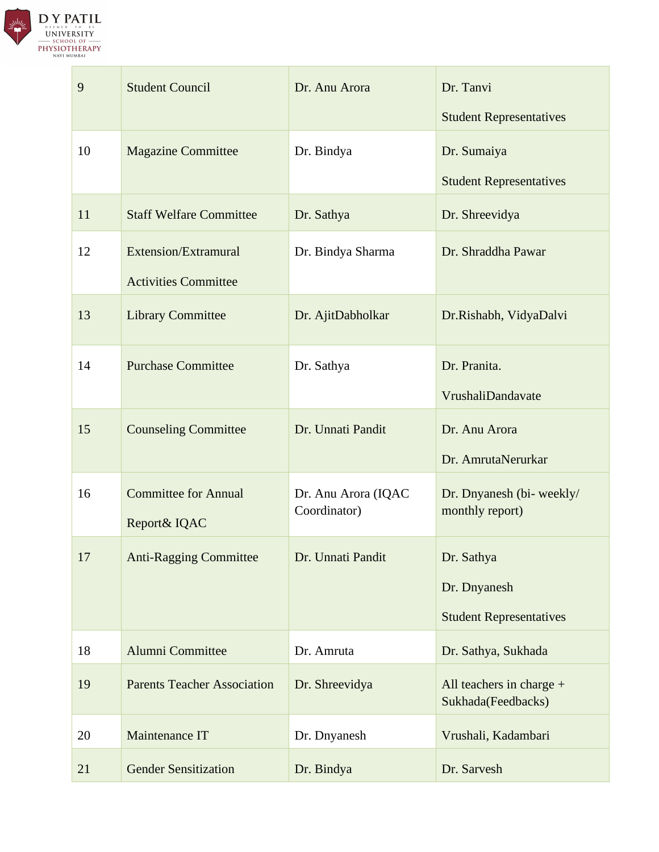

| 9  | <b>Student Council</b>                              | Dr. Anu Arora                       | Dr. Tanvi                                                                       |
|----|-----------------------------------------------------|-------------------------------------|---------------------------------------------------------------------------------|
| 10 | <b>Magazine Committee</b>                           | Dr. Bindya                          | <b>Student Representatives</b><br>Dr. Sumaiya<br><b>Student Representatives</b> |
| 11 | <b>Staff Welfare Committee</b>                      | Dr. Sathya                          | Dr. Shreevidya                                                                  |
| 12 | Extension/Extramural<br><b>Activities Committee</b> | Dr. Bindya Sharma                   | Dr. Shraddha Pawar                                                              |
| 13 | <b>Library Committee</b>                            | Dr. AjitDabholkar                   | Dr.Rishabh, VidyaDalvi                                                          |
| 14 | <b>Purchase Committee</b>                           | Dr. Sathya                          | Dr. Pranita.<br>VrushaliDandavate                                               |
| 15 | <b>Counseling Committee</b>                         | Dr. Unnati Pandit                   | Dr. Anu Arora<br>Dr. AmrutaNerurkar                                             |
| 16 | <b>Committee for Annual</b><br>Report& IQAC         | Dr. Anu Arora (IQAC<br>Coordinator) | Dr. Dnyanesh (bi- weekly/<br>monthly report)                                    |
| 17 | <b>Anti-Ragging Committee</b>                       | Dr. Unnati Pandit                   | Dr. Sathya<br>Dr. Dnyanesh<br><b>Student Representatives</b>                    |
| 18 | <b>Alumni Committee</b>                             | Dr. Amruta                          | Dr. Sathya, Sukhada                                                             |
| 19 | <b>Parents Teacher Association</b>                  | Dr. Shreevidya                      | All teachers in charge $+$<br>Sukhada(Feedbacks)                                |
| 20 | Maintenance IT                                      | Dr. Dnyanesh                        | Vrushali, Kadambari                                                             |
| 21 | <b>Gender Sensitization</b>                         | Dr. Bindya                          | Dr. Sarvesh                                                                     |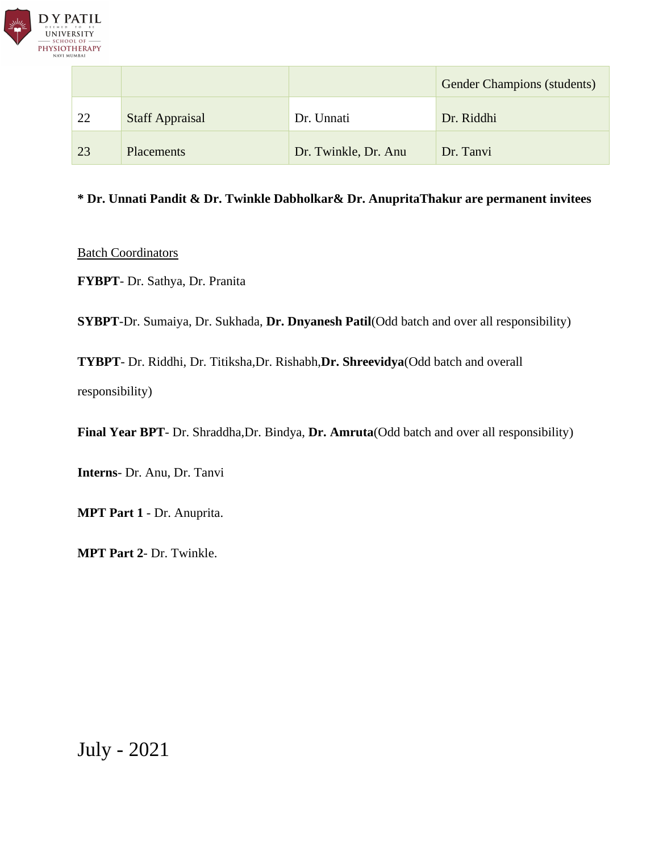

|    |                        |                      | <b>Gender Champions (students)</b> |
|----|------------------------|----------------------|------------------------------------|
| 22 | <b>Staff Appraisal</b> | Dr. Unnati           | Dr. Riddhi                         |
| 23 | Placements             | Dr. Twinkle, Dr. Anu | Dr. Tanvi                          |

#### **\* Dr. Unnati Pandit & Dr. Twinkle Dabholkar& Dr. AnupritaThakur are permanent invitees**

**Batch Coordinators** 

**FYBPT**- Dr. Sathya, Dr. Pranita

**SYBPT**-Dr. Sumaiya, Dr. Sukhada, **Dr. Dnyanesh Patil**(Odd batch and over all responsibility)

**TYBPT**- Dr. Riddhi, Dr. Titiksha,Dr. Rishabh,**Dr. Shreevidya**(Odd batch and overall responsibility)

**Final Year BPT**- Dr. Shraddha,Dr. Bindya, **Dr. Amruta**(Odd batch and over all responsibility)

**Interns**- Dr. Anu, Dr. Tanvi

**MPT Part 1** - Dr. Anuprita.

**MPT Part 2**- Dr. Twinkle.

July - 2021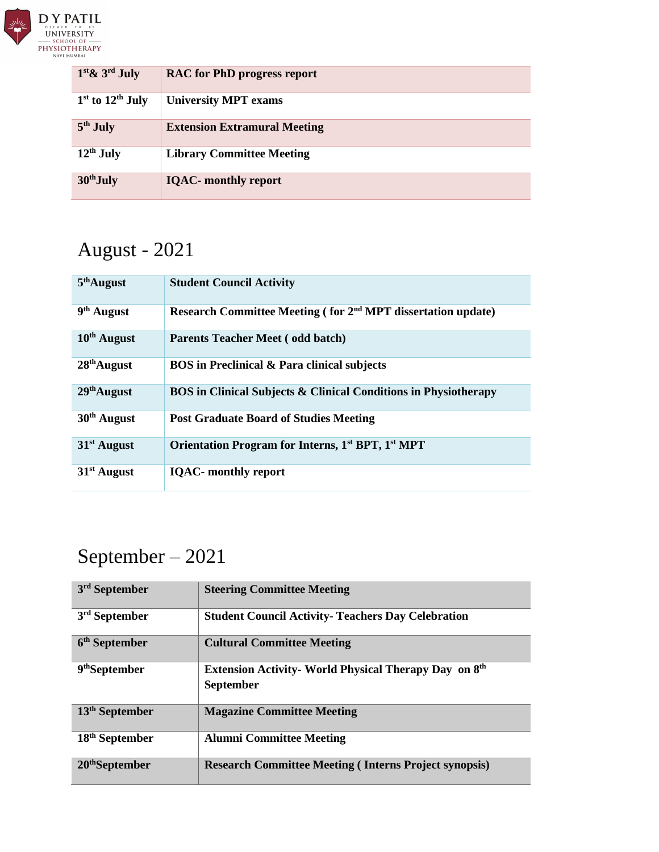

| $1st \& 3rd July$    | <b>RAC</b> for PhD progress report  |
|----------------------|-------------------------------------|
| $1st$ to $12th$ July | <b>University MPT exams</b>         |
| $5th$ July           | <b>Extension Extramural Meeting</b> |
| $12th$ July          | <b>Library Committee Meeting</b>    |
| $30th$ July          | <b>IOAC-</b> monthly report         |

# August - 2021

| $5th$ August           | <b>Student Council Activity</b>                                           |
|------------------------|---------------------------------------------------------------------------|
| 9 <sup>th</sup> August | Research Committee Meeting (for 2 <sup>nd</sup> MPT dissertation update)  |
| $10th$ August          | <b>Parents Teacher Meet (odd batch)</b>                                   |
| $28th$ August          | <b>BOS</b> in Preclinical & Para clinical subjects                        |
| $29th$ August          | <b>BOS</b> in Clinical Subjects & Clinical Conditions in Physiotherapy    |
| $30th$ August          | <b>Post Graduate Board of Studies Meeting</b>                             |
| $31st$ August          | Orientation Program for Interns, 1 <sup>st</sup> BPT, 1 <sup>st</sup> MPT |
| $31st$ August          | <b>IQAC-</b> monthly report                                               |

# September – 2021

| 3 <sup>rd</sup> September  | <b>Steering Committee Meeting</b>                                                |
|----------------------------|----------------------------------------------------------------------------------|
| $3rd$ September            | <b>Student Council Activity- Teachers Day Celebration</b>                        |
| 6 <sup>th</sup> September  | <b>Cultural Committee Meeting</b>                                                |
| 9 <sup>th</sup> September  | <b>Extension Activity- World Physical Therapy Day on 8th</b><br><b>September</b> |
| $13th$ September           | <b>Magazine Committee Meeting</b>                                                |
| 18 <sup>th</sup> September | <b>Alumni Committee Meeting</b>                                                  |
| $20th$ September           | <b>Research Committee Meeting (Interns Project synopsis)</b>                     |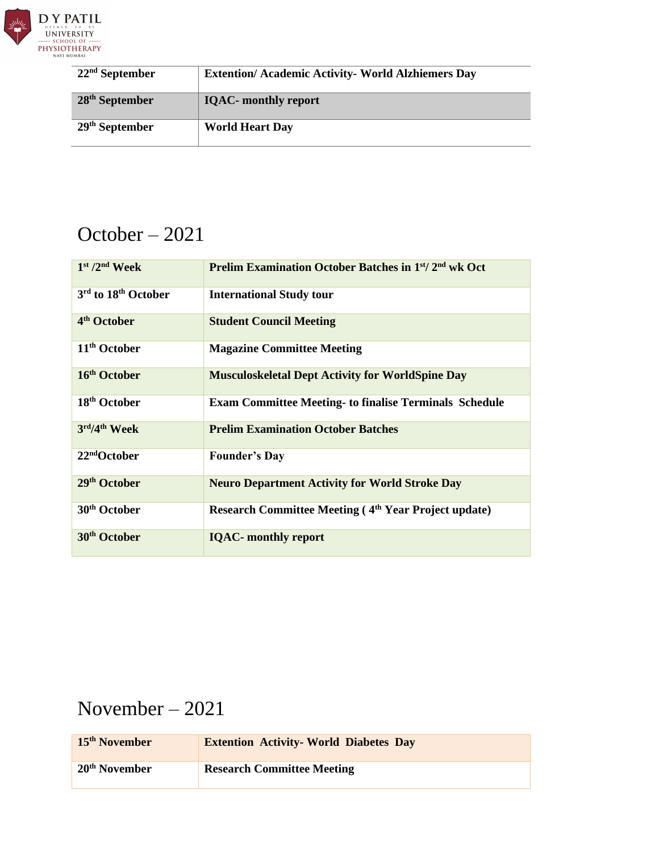

| $22nd$ September | <b>Extention/ Academic Activity- World Alzhiemers Day</b> |
|------------------|-----------------------------------------------------------|
| $28th$ September | <b>IQAC-</b> monthly report                               |
| $29th$ September | <b>World Heart Day</b>                                    |

### October – 2021

| $1st / 2nd$ Week         | Prelim Examination October Batches in 1st/2 <sup>nd</sup> wk Oct |
|--------------------------|------------------------------------------------------------------|
| 3rd to 18th October      | <b>International Study tour</b>                                  |
| 4 <sup>th</sup> October  | <b>Student Council Meeting</b>                                   |
| 11 <sup>th</sup> October | <b>Magazine Committee Meeting</b>                                |
| 16 <sup>th</sup> October | <b>Musculoskeletal Dept Activity for WorldSpine Day</b>          |
| 18 <sup>th</sup> October | <b>Exam Committee Meeting- to finalise Terminals Schedule</b>    |
| 3rd/4th Week             | <b>Prelim Examination October Batches</b>                        |
| 22 <sup>nd</sup> October | <b>Founder's Day</b>                                             |
| 29 <sup>th</sup> October | <b>Neuro Department Activity for World Stroke Day</b>            |
| 30 <sup>th</sup> October | Research Committee Meeting (4 <sup>th</sup> Year Project update) |
| 30 <sup>th</sup> October | <b>IQAC-</b> monthly report                                      |

## November – 2021

| 15 <sup>th</sup> November | <b>Extention Activity-World Diabetes Day</b> |
|---------------------------|----------------------------------------------|
| 20 <sup>th</sup> November | <b>Research Committee Meeting</b>            |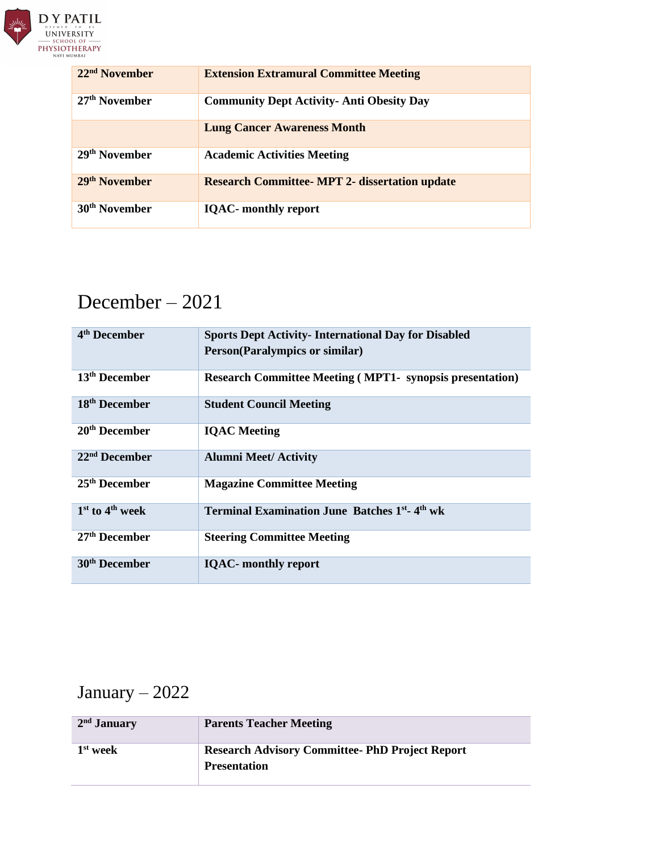

| $22nd$ November           | <b>Extension Extramural Committee Meeting</b>         |
|---------------------------|-------------------------------------------------------|
| $27th$ November           | <b>Community Dept Activity- Anti Obesity Day</b>      |
|                           | <b>Lung Cancer Awareness Month</b>                    |
| 29 <sup>th</sup> November | <b>Academic Activities Meeting</b>                    |
| 29 <sup>th</sup> November | <b>Research Committee- MPT 2- dissertation update</b> |
| 30 <sup>th</sup> November | <b>IQAC-</b> monthly report                           |

## December – 2021

| 4 <sup>th</sup> December  | <b>Sports Dept Activity-International Day for Disabled</b><br><b>Person(Paralympics or similar)</b> |
|---------------------------|-----------------------------------------------------------------------------------------------------|
| 13 <sup>th</sup> December | <b>Research Committee Meeting (MPT1- synopsis presentation)</b>                                     |
| 18 <sup>th</sup> December | <b>Student Council Meeting</b>                                                                      |
| 20 <sup>th</sup> December | <b>IQAC</b> Meeting                                                                                 |
| 22 <sup>nd</sup> December | <b>Alumni Meet/ Activity</b>                                                                        |
| 25 <sup>th</sup> December | <b>Magazine Committee Meeting</b>                                                                   |
| $1st$ to $4th$ week       | Terminal Examination June Batches 1 <sup>st</sup> -4 <sup>th</sup> wk                               |
| 27 <sup>th</sup> December | <b>Steering Committee Meeting</b>                                                                   |
| 30 <sup>th</sup> December | <b>IQAC-</b> monthly report                                                                         |

## January – 2022

| $2nd$ January | <b>Parents Teacher Meeting</b>                                                |
|---------------|-------------------------------------------------------------------------------|
| $1st$ week    | <b>Research Advisory Committee- PhD Project Report</b><br><b>Presentation</b> |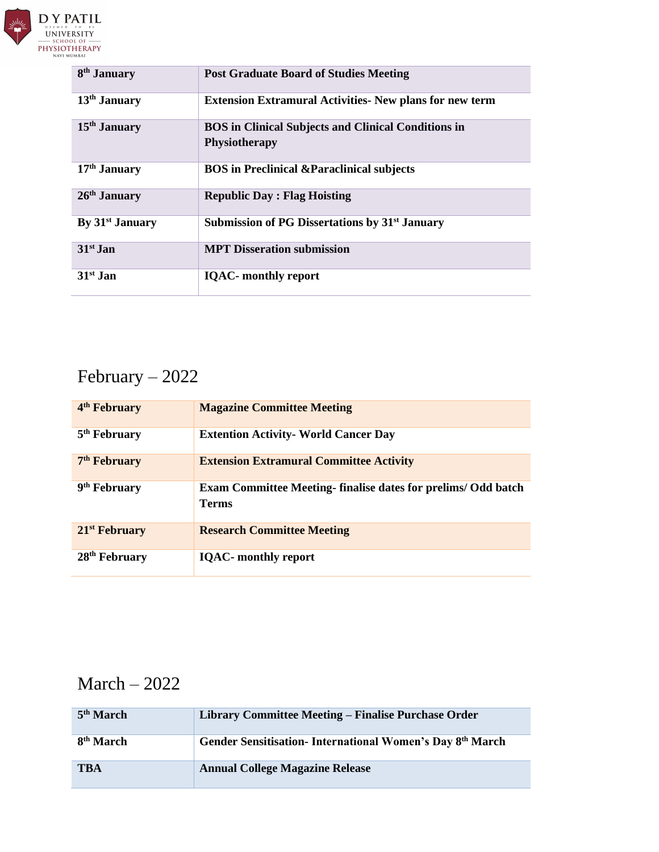

| 8 <sup>th</sup> January     | <b>Post Graduate Board of Studies Meeting</b>                                      |
|-----------------------------|------------------------------------------------------------------------------------|
| $13th$ January              | <b>Extension Extramural Activities- New plans for new term</b>                     |
| $15th$ January              | <b>BOS</b> in Clinical Subjects and Clinical Conditions in<br><b>Physiotherapy</b> |
| $17th$ January              | <b>BOS</b> in Preclinical & Paraclinical subjects                                  |
| $26th$ January              | <b>Republic Day: Flag Hoisting</b>                                                 |
| By 31 <sup>st</sup> January | Submission of PG Dissertations by 31 <sup>st</sup> January                         |
| $31st$ Jan                  | <b>MPT Disseration submission</b>                                                  |
| $31st$ Jan                  | <b>IQAC-</b> monthly report                                                        |

## February – 2022

| 4 <sup>th</sup> February  | <b>Magazine Committee Meeting</b>                                                   |
|---------------------------|-------------------------------------------------------------------------------------|
| 5 <sup>th</sup> February  | <b>Extention Activity- World Cancer Day</b>                                         |
| 7 <sup>th</sup> February  | <b>Extension Extramural Committee Activity</b>                                      |
| 9 <sup>th</sup> February  | <b>Exam Committee Meeting-finalise dates for prelims/ Odd batch</b><br><b>Terms</b> |
| $21st$ February           | <b>Research Committee Meeting</b>                                                   |
| 28 <sup>th</sup> February | <b>IQAC-</b> monthly report                                                         |

#### March – 2022

| 5 <sup>th</sup> March | Library Committee Meeting – Finalise Purchase Order      |
|-----------------------|----------------------------------------------------------|
| 8 <sup>th</sup> March | Gender Sensitisation-International Women's Day 8th March |
| TBA                   | <b>Annual College Magazine Release</b>                   |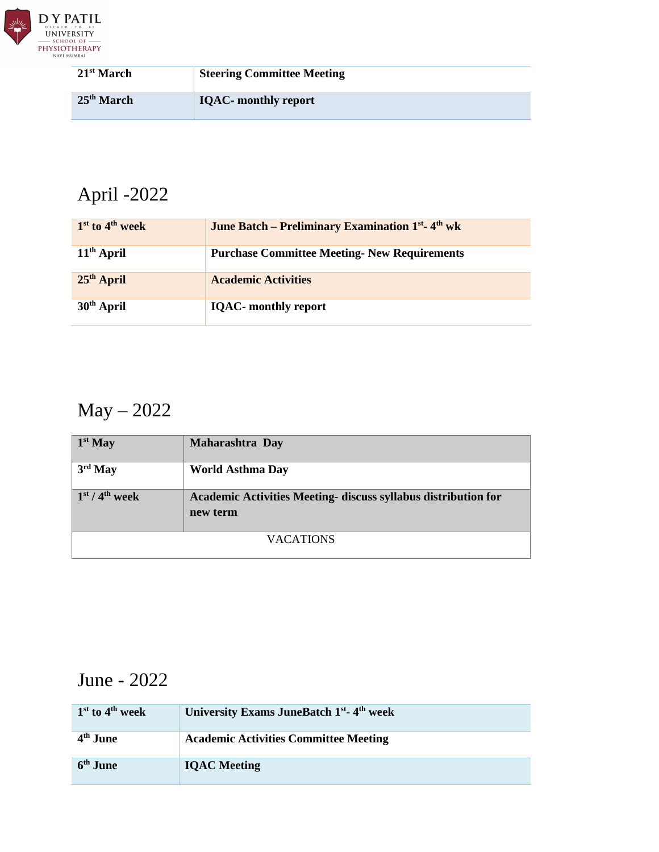

| 21 <sup>st</sup> March | <b>Steering Committee Meeting</b> |
|------------------------|-----------------------------------|
| 25 <sup>th</sup> March | <b>IQAC-</b> monthly report       |

# April -2022

| $1st$ to 4 <sup>th</sup> week | <b>June Batch – Preliminary Examination 1st. 4th wk</b> |
|-------------------------------|---------------------------------------------------------|
| $11th$ April                  | <b>Purchase Committee Meeting- New Requirements</b>     |
| $25th$ April                  | <b>Academic Activities</b>                              |
| $30th$ April                  | <b>IQAC-</b> monthly report                             |

## May – 2022

| $\vert 1^{st}$ May                             | Maharashtra Day                                                            |
|------------------------------------------------|----------------------------------------------------------------------------|
| $3rd$ May                                      | <b>World Asthma Day</b>                                                    |
| $\frac{1 \text{st}}{4}$ / 4 <sup>th</sup> week | Academic Activities Meeting- discuss syllabus distribution for<br>new term |
| <b>VACATIONS</b>                               |                                                                            |

## June - 2022

| $1st$ to $4th$ week  | University Exams JuneBatch 1 <sup>st</sup> -4 <sup>th</sup> week |
|----------------------|------------------------------------------------------------------|
| 4 <sup>th</sup> June | <b>Academic Activities Committee Meeting</b>                     |
| 6 <sup>th</sup> June | <b>IOAC</b> Meeting                                              |